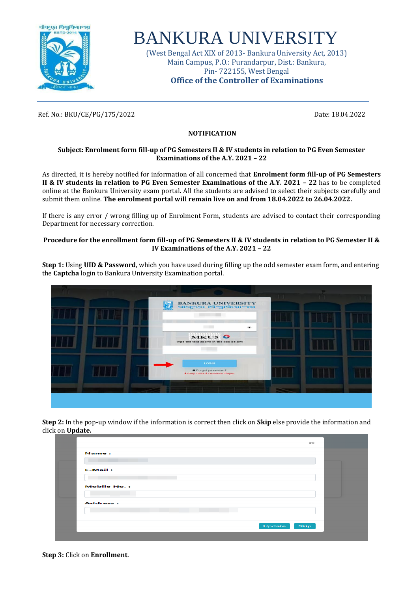

# BANKURA UNIVERSITY

(West Bengal Act XIX of 2013- Bankura University Act, 2013) Main Campus, P.O.: Purandarpur, Dist.: Bankura, Pin- 722155, West Bengal **Office of the Controller of Examinations**

Ref. No.: BKU/CE/PG/175/2022 Date: 18.04.2022

## **NOTIFICATION**

### **Subject: Enrolment form fill-up of PG Semesters II & IV students in relation to PG Even Semester Examinations of the A.Y. 2021 – 22**

As directed, it is hereby notified for information of all concerned that **Enrolment form fill-up of PG Semesters II & IV students in relation to PG Even Semester Examinations of the A.Y. 2021 – 22** has to be completed online at the Bankura University exam portal. All the students are advised to select their subjects carefully and submit them online. **The enrolment portal will remain live on and from 18.04.2022 to 26.04.2022.** 

If there is any error / wrong filling up of Enrolment Form, students are advised to contact their corresponding Department for necessary correction.

### **Procedure for the enrollment form fill-up of PG Semesters II & IV students in relation to PG Semester II & IV Examinations of the A.Y. 2021 – 22**

**Step 1:** Using **UID & Password**, which you have used during filling up the odd semester exam form, and entering the **Captcha** login to Bankura University Examination portal.

|  | BANKURA UNIVERSITY                                                      |  |  |
|--|-------------------------------------------------------------------------|--|--|
|  | <b>Contract Contract</b><br>$\bullet$<br>MKUS O                         |  |  |
|  | Type the text above in the box below:                                   |  |  |
|  | <b>LOGIN</b><br>Forgot password?<br><b>i</b> Help Desk i Question Paper |  |  |
|  |                                                                         |  |  |
|  |                                                                         |  |  |

**Step 2:** In the pop-up window if the information is correct then click on **Skip** else provide the information and click on **Update.**

| $\mathbf{\times}$  |  |
|--------------------|--|
| Name:              |  |
|                    |  |
| <b>E-Mail:</b>     |  |
|                    |  |
| <b>Mobile No.:</b> |  |
|                    |  |
| <b>Address:</b>    |  |
|                    |  |
| Update<br>Skip     |  |
|                    |  |

**Step 3:** Click on **Enrollment**.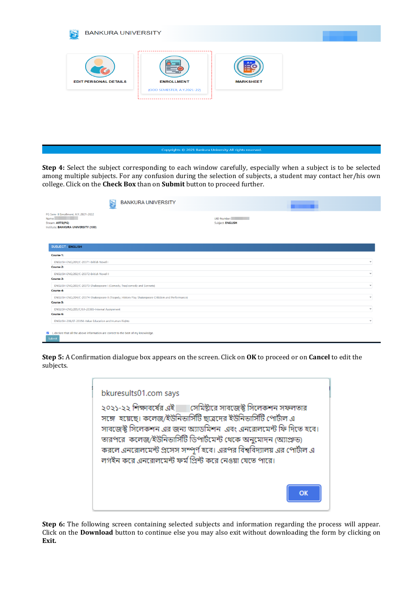

**Step 4:** Select the subject corresponding to each window carefully, especially when a subject is to be selected among multiple subjects. For any confusion during the selection of subjects, a student may contact her/his own college. Click on the **Check Box** than on **Submit** button to proceed further.

| <b>BANKURA UNIVERSITY</b><br>r.                                                                                                       |                                 |
|---------------------------------------------------------------------------------------------------------------------------------------|---------------------------------|
| PG Sem- II Enrollment, A.Y. 2021-2022<br><b>Contract Contract</b><br>Name:<br>Stream: ARTS(PG)<br>Institute: BANKURA UNIVERSITY (100) | UID Number:<br>Subject: ENGLISH |
| <b>SUBJECT: ENGLISH</b>                                                                                                               |                                 |
| Course 1:                                                                                                                             |                                 |
| ENGLISH-ENG/201/C-20371-British Novel I                                                                                               | $\checkmark$                    |
| <b>Course 2:</b>                                                                                                                      |                                 |
| ENGLISH-ENG/202/C-20372-British Novel II                                                                                              | $\checkmark$                    |
| Course 3:                                                                                                                             |                                 |
| ENGLISH-ENG/203/C-20373-Shakespeare I (Comedy, Tragicomedy and Sonnets)                                                               | $\checkmark$                    |
| <b>Course 4:</b>                                                                                                                      |                                 |
| ENGLISH-ENG/204/C-20374-Shakespeare II (Tragedy, History Play Shakespeare Criticism and Performance)                                  | $\checkmark$                    |
| Course 5:                                                                                                                             |                                 |
| ENGLISH-ENG/205/C/I.A-20365-Internal Assignment                                                                                       | $\checkmark$                    |
| Course 6:                                                                                                                             |                                 |
| ENGLISH-206/EF-20356-Value Education and Human Rights                                                                                 | $\check{~}$                     |
| I, declare that all the above information are correct to the best of my knowledge.<br>Submit                                          |                                 |

**Step 5:** A Confirmation dialogue box appears on the screen. Click on **OK** to proceed or on **Cancel** to edit the subjects.

| bkuresults01.com says                                                                                                                    |
|------------------------------------------------------------------------------------------------------------------------------------------|
| ২০২১-২২ শিক্ষাবর্ষের এই সালে সেমিষ্টারে সাবজেক্ট্র সিলেকশন সফলতার                                                                        |
| সঙ্গে  হয়েছে। কলেজ/ইউনিভার্সিটি ছাত্রদের ইউনিভার্সিটি পোর্টাল এ<br>সাবজেক্ট্ সিলেকশন এর জন্য অ্যাডমিশন। এবং এনরোলমেন্ট ফি দিতে হবে।     |
| তারপরে  কলেজ/ইউনিভার্সিটি ডিপার্টমেন্ট থেকে অনুমোদন (অ্যাপ্রুভ)<br>করলে এনরোলমেন্ট প্রসেস সম্পূর্ণ হবে। এরপর বিশ্ববিদ্যালয় এর পোর্টাল এ |
| লগইন করে এনরোলমেন্ট ফর্ম প্রিন্ট করে নেওয়া যেতে পারে।                                                                                   |
|                                                                                                                                          |
|                                                                                                                                          |

**Step 6:** The following screen containing selected subjects and information regarding the process will appear. Click on the **Download** button to continue else you may also exit without downloading the form by clicking on **Exit.**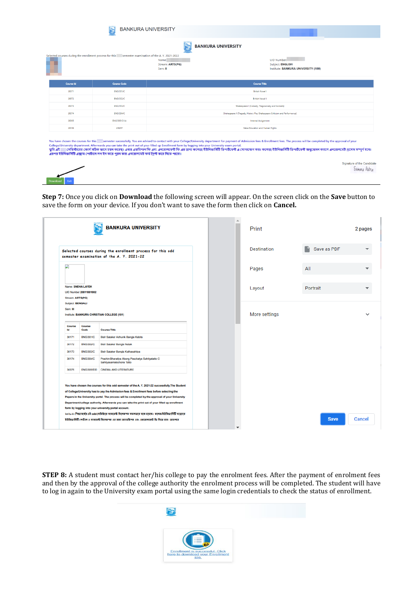|                  | Ŷ                                                                                                                                                                                                                                                | <b>BANKURA UNIVERSITY</b>            |                                                                                                                                                                                                                                                                                                                                                                                                                   |
|------------------|--------------------------------------------------------------------------------------------------------------------------------------------------------------------------------------------------------------------------------------------------|--------------------------------------|-------------------------------------------------------------------------------------------------------------------------------------------------------------------------------------------------------------------------------------------------------------------------------------------------------------------------------------------------------------------------------------------------------------------|
|                  |                                                                                                                                                                                                                                                  |                                      | <b>BANKURA UNIVERSITY</b>                                                                                                                                                                                                                                                                                                                                                                                         |
|                  | Selected courses during the enrollment process for this semester examination of the A. Y. 2021-2022                                                                                                                                              | Name:<br>Stream: ARTS(PG)<br>Sem: II | <b>UID Number:</b><br>Subject: ENGLISH<br>Institute: BANKURA UNIVERSITY (100)                                                                                                                                                                                                                                                                                                                                     |
| <b>Course Id</b> | <b>Course Code</b>                                                                                                                                                                                                                               |                                      | <b>Course Title</b>                                                                                                                                                                                                                                                                                                                                                                                               |
| 20371            | <b>ENG/201/C</b>                                                                                                                                                                                                                                 |                                      | <b>British Novel I</b>                                                                                                                                                                                                                                                                                                                                                                                            |
| 20372            | <b>ENG/202/C</b>                                                                                                                                                                                                                                 |                                      | <b>British Novel II</b>                                                                                                                                                                                                                                                                                                                                                                                           |
| 20373            | <b>ENG/203/C</b>                                                                                                                                                                                                                                 |                                      | Shakespeare I (Comedy, Tragicomedy and Sonnets)                                                                                                                                                                                                                                                                                                                                                                   |
| 20374            | <b>ENG/204/C</b>                                                                                                                                                                                                                                 |                                      | Shakespeare II (Tragedy, History Play Shakespeare Criticism and Performance)                                                                                                                                                                                                                                                                                                                                      |
| 20365            | <b>ENG/205/C/LA</b>                                                                                                                                                                                                                              |                                      | Internal Assignment                                                                                                                                                                                                                                                                                                                                                                                               |
| 20356            | 206/EF                                                                                                                                                                                                                                           |                                      | Value Education and Human Rights                                                                                                                                                                                                                                                                                                                                                                                  |
| তমি এই           | College/University department. Afterwards you can take the print out of your filled up Enrollment form by logging into your University exam portal.<br>এরপর ইউনিভার্সিটি এক্সাম পোর্টালে লগ ইন করে পুরন করা এনরোলমেট ফর্ম প্রিন্ট করে নিতে পারো। |                                      | You have chosen the courses for this semester successfully. You are advised to contact with your College/University department for payment of Admission fees & Enrollment fees. The process will be completed by the approval<br>সেমিস্টারের কোর্স সঠিক ডাবে চয়ন করেছ। এবার এডমিশান ফি এবং এনবোলমেন্ট ফি এর জন্য জনেজ(ইউনিউন)ইউনিসের জন্য কলজ/ইউনিডার্সিটি ডিপাটমেন্ট অনুমোদন করলে এনরোলমেট প্রসেস সম্পূর্ণ হবে। |

**Step 7:** Once you click on **Download** the following screen will appear. On the screen click on the **Save** button to save the form on your device. If you don't want to save the form then click on **Cancel.**

Sumana Patria

|                              |                                                    | <b>BANKURA UNIVERSITY</b>                                                                                                                                                                                                                                                                                                                                                                                                                                                                                                                                                                                                                                                | 盀 | Print              |             | 2 pages       |
|------------------------------|----------------------------------------------------|--------------------------------------------------------------------------------------------------------------------------------------------------------------------------------------------------------------------------------------------------------------------------------------------------------------------------------------------------------------------------------------------------------------------------------------------------------------------------------------------------------------------------------------------------------------------------------------------------------------------------------------------------------------------------|---|--------------------|-------------|---------------|
|                              |                                                    | Selected courses during the enrollment process for this odd<br>semester examination of the A. Y. 2021-22                                                                                                                                                                                                                                                                                                                                                                                                                                                                                                                                                                 |   | <b>Destination</b> | Save as PDF |               |
|                              |                                                    |                                                                                                                                                                                                                                                                                                                                                                                                                                                                                                                                                                                                                                                                          |   | Pages              | All         |               |
| Stream: ARTS(PG)             | Name: SNEHA LAYEK<br><b>UID Number:20011001002</b> |                                                                                                                                                                                                                                                                                                                                                                                                                                                                                                                                                                                                                                                                          |   | Layout             | Portrait    |               |
| Subject: BENGALI<br>Sem: III |                                                    | Institute: BANKURA CHRISTIAN COLLEGE (101)                                                                                                                                                                                                                                                                                                                                                                                                                                                                                                                                                                                                                               |   | More settings      |             |               |
| Course<br>Id                 | Course<br>Code                                     | <b>Course Title</b>                                                                                                                                                                                                                                                                                                                                                                                                                                                                                                                                                                                                                                                      |   |                    |             |               |
| 30171                        | <b>BNG/301/C</b>                                   | Bish Sataker Adhunik Bangla Kabita                                                                                                                                                                                                                                                                                                                                                                                                                                                                                                                                                                                                                                       |   |                    |             |               |
| 30172                        | <b>BNG/302/C</b>                                   | Bish Sataker Bangla Natak                                                                                                                                                                                                                                                                                                                                                                                                                                                                                                                                                                                                                                                |   |                    |             |               |
| 30173                        | <b>BNG/303/C</b>                                   | Bish Sataker Bangla Kathasahitya                                                                                                                                                                                                                                                                                                                                                                                                                                                                                                                                                                                                                                         |   |                    |             |               |
| 30174                        | <b>BNG/304/C</b>                                   | Prachin Bharatiya Abong Paschatya Sahityatatto O<br>Sahityasamalochona Tatto                                                                                                                                                                                                                                                                                                                                                                                                                                                                                                                                                                                             |   |                    |             |               |
| 30375                        | ENG/305/EID                                        | <b>CINEMA AND LITERATURE</b>                                                                                                                                                                                                                                                                                                                                                                                                                                                                                                                                                                                                                                             |   |                    |             |               |
|                              |                                                    | You have chosen the courses for this odd semester of the A.Y. 2021-22 successfully. The Student<br>of College/University has to pay the Admission fees & Enrollment fees before selecting the<br>Papers in the University portal. The process will be completed by the approval of your University<br>Department/college authority. Afterwards you can take the print out of your filled up enrollment<br>form by logging into your university portal account.<br>২০২১-২২ শিক্ষাবর্ষের এই odd সেমিষ্টারে সাবজেন্ট সিলেকশল সফলতার সঙ্গে হয়েছে। কলেজাইউনিভার্সিটি দাব্রদের<br>ইউৰিভাৰ্সিটি পোটাল এ সাবজেষ্ট সিলেৰুশৰ এর জন্য অ্যাডমিশৰ এবং এৰবোলমেন্ট ফি দিতে হবে। তারপরে |   |                    | <b>Save</b> | <b>Cancel</b> |

**STEP 8:** A student must contact her/his college to pay the enrolment fees. After the payment of enrolment fees and then by the approval of the college authority the enrolment process will be completed. The student will have to log in again to the University exam portal using the same login credentials to check the status of enrollment.